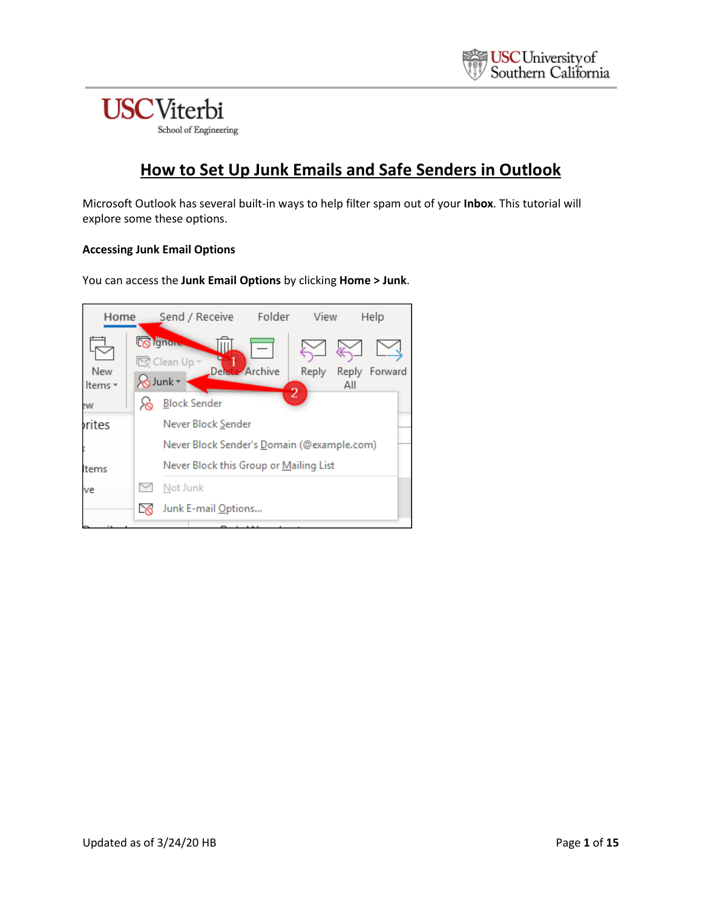## **How to Set Up Junk Emails and Safe Senders in Outlook**

Microsoft Outlook has several built-in ways to help filter spam out of your **Inbox**. This tutorial will explore some these options.

#### **Accessing Junk Email Options**

You can access the **Junk Email Options** by clicking **Home > Junk**.

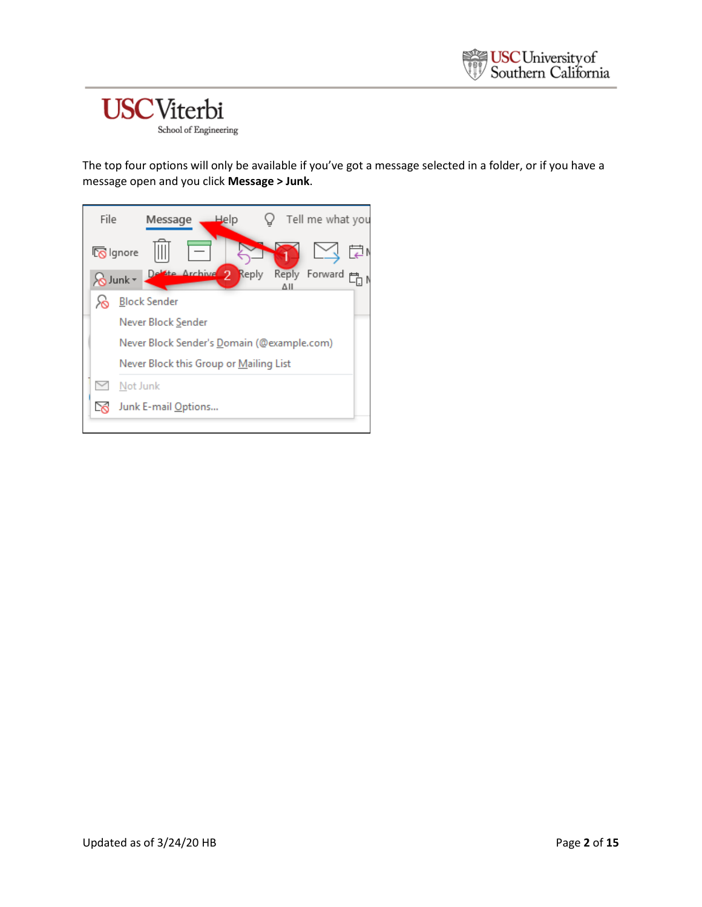The top four options will only be available if you've got a message selected in a folder, or if you have a message open and you click **Message > Junk**.

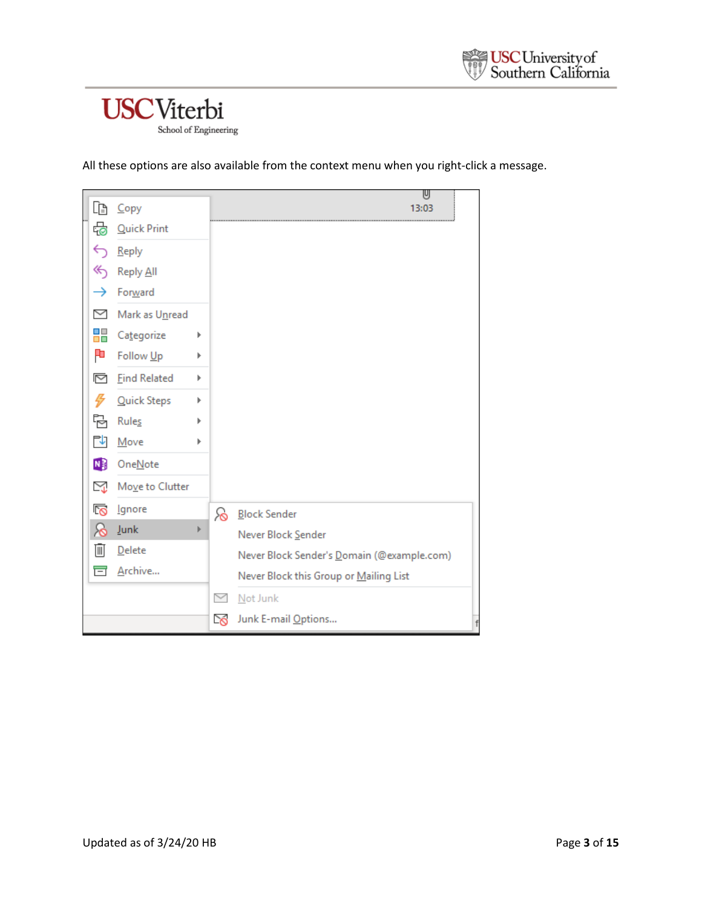All these options are also available from the context menu when you right-click a message.

|    |                     |   |              | U                                          |
|----|---------------------|---|--------------|--------------------------------------------|
| lè | Copy                |   |              | 13:03                                      |
| ♧  | <b>Quick Print</b>  |   |              |                                            |
| ←  | Reply               |   |              |                                            |
| ≪  | Reply All           |   |              |                                            |
| →  | Forward             |   |              |                                            |
| ▽  | Mark as Unread      |   |              |                                            |
| ₩  | Categorize          | Þ |              |                                            |
| P  | Follow Up           | Þ |              |                                            |
| 罓  | <b>Find Related</b> | Þ |              |                                            |
| 4  | Quick Steps         | Þ |              |                                            |
| ħ  | Rules               | Þ |              |                                            |
| ΓΨ | Move                | Þ |              |                                            |
| N) | OneNote             |   |              |                                            |
| ⊠  | Move to Clutter     |   |              |                                            |
| က  | Ignore              |   | ၜ            | <b>Block Sender</b>                        |
| ଚ  | <b>Junk</b>         | Þ |              | Never Block Sender                         |
| Ū  | Delete              |   |              | Never Block Sender's Domain (@example.com) |
| 盲  | Archive             |   |              | Never Block this Group or Mailing List     |
|    |                     |   | $\checkmark$ | Not Junk                                   |
|    |                     |   | $\infty$     | Junk E-mail Options                        |
|    |                     |   |              |                                            |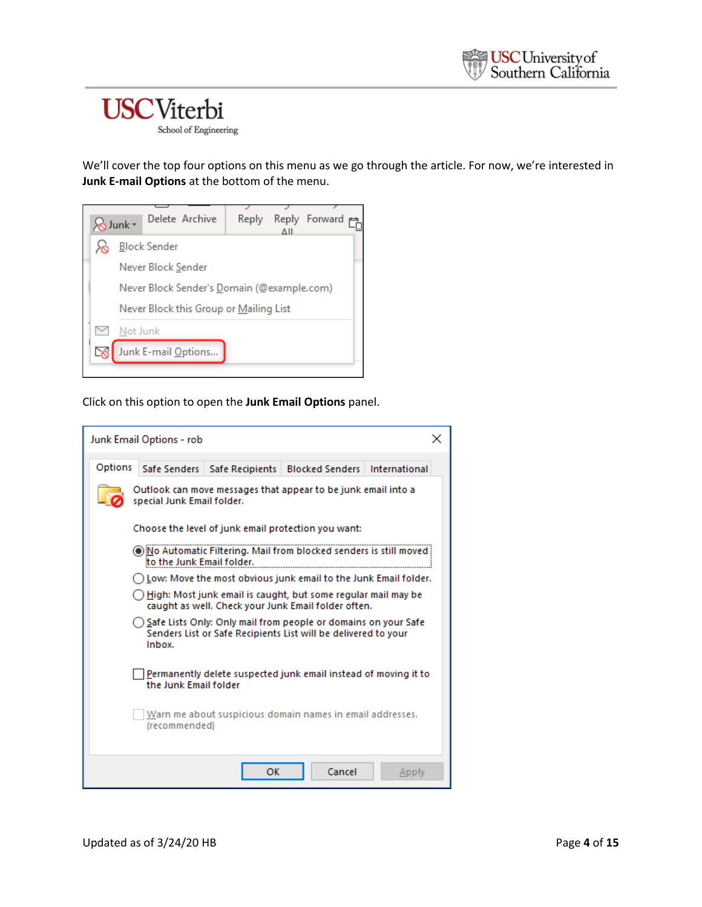School of Engineering

We'll cover the top four options on this menu as we go through the article. For now, we're interested in **Junk E-mail Options** at the bottom of the menu.



Click on this option to open the **Junk Email Options** panel.

|                                                                                             | Junk Email Options - rob                                                                 |                                |                                                                                                                                    |       |  |  |  |
|---------------------------------------------------------------------------------------------|------------------------------------------------------------------------------------------|--------------------------------|------------------------------------------------------------------------------------------------------------------------------------|-------|--|--|--|
| Options                                                                                     |                                                                                          | Safe Senders   Safe Recipients | <b>Blocked Senders International</b>                                                                                               |       |  |  |  |
| Outlook can move messages that appear to be junk email into a<br>special Junk Email folder. |                                                                                          |                                |                                                                                                                                    |       |  |  |  |
|                                                                                             |                                                                                          |                                | Choose the level of junk email protection you want:                                                                                |       |  |  |  |
|                                                                                             | to the Junk Email folder.                                                                |                                | io Automatic Filtering. Mail from blocked senders is still moved                                                                   |       |  |  |  |
|                                                                                             |                                                                                          |                                | ) Low: Move the most obvious junk email to the Junk Email folder.                                                                  |       |  |  |  |
|                                                                                             |                                                                                          |                                | High: Most junk email is caught, but some regular mail may be<br>caught as well. Check your Junk Email folder often.               |       |  |  |  |
|                                                                                             | Inbox.                                                                                   |                                | Safe Lists Only: Only mail from people or domains on your Safe (<br>Senders List or Safe Recipients List will be delivered to your |       |  |  |  |
|                                                                                             | Permanently delete suspected junk email instead of moving it to<br>the Junk Email folder |                                |                                                                                                                                    |       |  |  |  |
|                                                                                             | Warn me about suspicious domain names in email addresses.<br>(recommended)               |                                |                                                                                                                                    |       |  |  |  |
|                                                                                             |                                                                                          | OK                             | Cancel                                                                                                                             | Apply |  |  |  |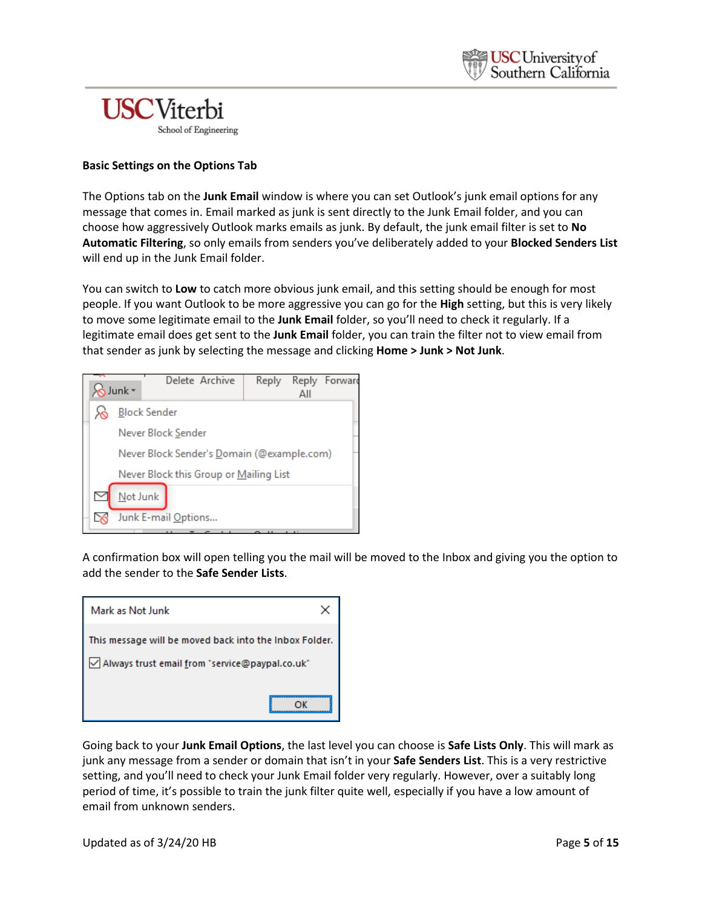

#### **Basic Settings on the Options Tab**

The Options tab on the **Junk Email** window is where you can set Outlook's junk email options for any message that comes in. Email marked as junk is sent directly to the Junk Email folder, and you can choose how aggressively Outlook marks emails as junk. By default, the junk email filter is set to **No Automatic Filtering**, so only emails from senders you've deliberately added to your **Blocked Senders List** will end up in the Junk Email folder.

You can switch to **Low** to catch more obvious junk email, and this setting should be enough for most people. If you want Outlook to be more aggressive you can go for the **High** setting, but this is very likely to move some legitimate email to the **Junk Email** folder, so you'll need to check it regularly. If a legitimate email does get sent to the **Junk Email** folder, you can train the filter not to view email from that sender as junk by selecting the message and clicking **Home > Junk > Not Junk**.



A confirmation box will open telling you the mail will be moved to the Inbox and giving you the option to add the sender to the **Safe Sender Lists**.

| Mark as Not Junk                                       |
|--------------------------------------------------------|
| This message will be moved back into the Inbox Folder. |
| Always trust email from "service@paypal.co.uk"         |
|                                                        |

Going back to your **Junk Email Options**, the last level you can choose is **Safe Lists Only**. This will mark as junk any message from a sender or domain that isn't in your **Safe Senders List**. This is a very restrictive setting, and you'll need to check your Junk Email folder very regularly. However, over a suitably long period of time, it's possible to train the junk filter quite well, especially if you have a low amount of email from unknown senders.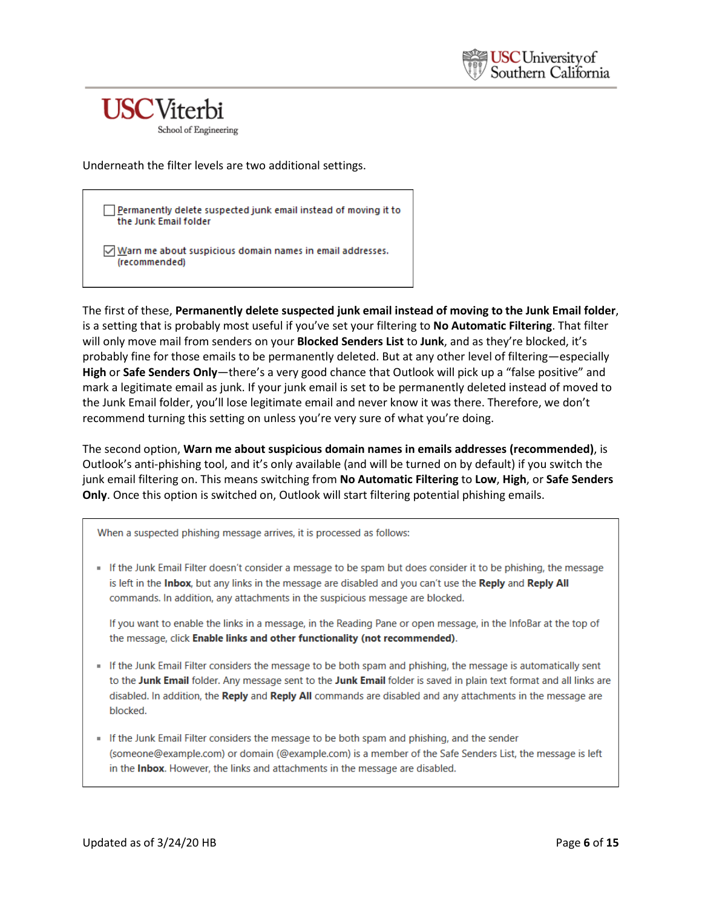School of Engineering

Underneath the filter levels are two additional settings.

Permanently delete suspected junk email instead of moving it to the Junk Email folder

 $\sqrt{\frac{N}{N}}$  Warn me about suspicious domain names in email addresses. (recommended)

The first of these, **Permanently delete suspected junk email instead of moving to the Junk Email folder**, is a setting that is probably most useful if you've set your filtering to **No Automatic Filtering**. That filter will only move mail from senders on your **Blocked Senders List** to **Junk**, and as they're blocked, it's probably fine for those emails to be permanently deleted. But at any other level of filtering—especially **High** or **Safe Senders Only**—there's a very good chance that Outlook will pick up a "false positive" and mark a legitimate email as junk. If your junk email is set to be permanently deleted instead of moved to the Junk Email folder, you'll lose legitimate email and never know it was there. Therefore, we don't recommend turning this setting on unless you're very sure of what you're doing.

The second option, **Warn me about suspicious domain names in emails addresses (recommended)**, is Outlook's anti-phishing tool, and it's only available (and will be turned on by default) if you switch the junk email filtering on. This means switching from **No Automatic Filtering** to **Low**, **High**, or **Safe Senders Only**. Once this option is switched on, Outlook will start filtering potential phishing emails.

When a suspected phishing message arrives, it is processed as follows:

If the Junk Email Filter doesn't consider a message to be spam but does consider it to be phishing, the message is left in the Inbox, but any links in the message are disabled and you can't use the Reply and Reply All commands. In addition, any attachments in the suspicious message are blocked.

If you want to enable the links in a message, in the Reading Pane or open message, in the InfoBar at the top of the message, click Enable links and other functionality (not recommended).

- If the Junk Email Filter considers the message to be both spam and phishing, the message is automatically sent to the Junk Email folder. Any message sent to the Junk Email folder is saved in plain text format and all links are disabled. In addition, the Reply and Reply All commands are disabled and any attachments in the message are blocked.
- If the Junk Email Filter considers the message to be both spam and phishing, and the sender (someone@example.com) or domain (@example.com) is a member of the Safe Senders List, the message is left in the Inbox. However, the links and attachments in the message are disabled.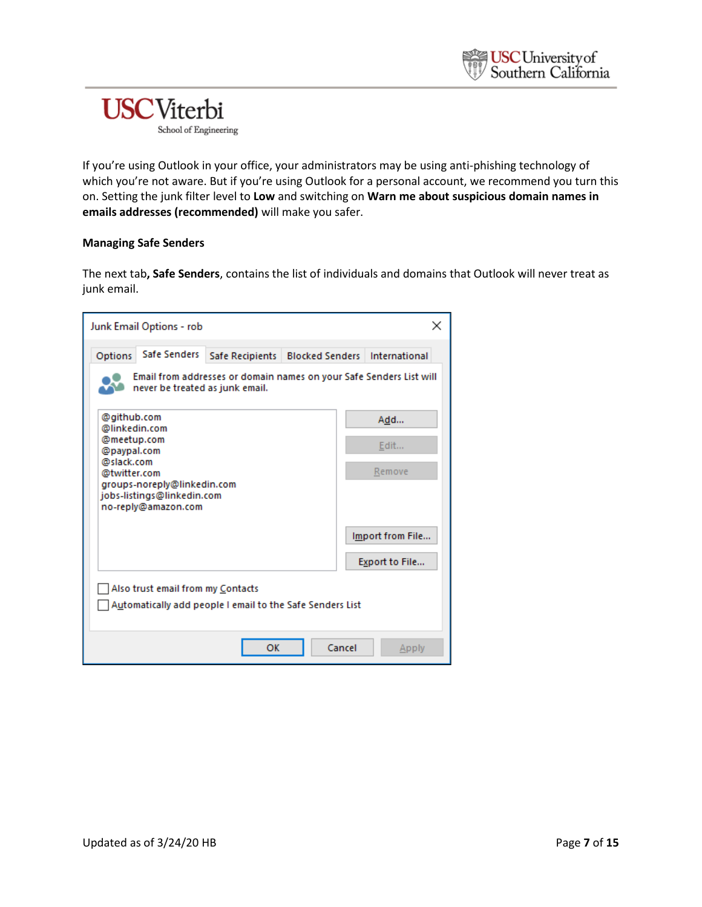If you're using Outlook in your office, your administrators may be using anti-phishing technology of which you're not aware. But if you're using Outlook for a personal account, we recommend you turn this on. Setting the junk filter level to **Low** and switching on **Warn me about suspicious domain names in emails addresses (recommended)** will make you safer.

#### **Managing Safe Senders**

The next tab**, Safe Senders**, contains the list of individuals and domains that Outlook will never treat as junk email.

| Junk Email Options - rob                                                                       |                 |        |                                                                     |
|------------------------------------------------------------------------------------------------|-----------------|--------|---------------------------------------------------------------------|
| Safe Senders<br>Options                                                                        | Safe Recipients |        | <b>Blocked Senders International</b>                                |
| never be treated as junk email.                                                                |                 |        | Email from addresses or domain names on your Safe Senders List will |
| @github.com<br>@linkedin.com                                                                   |                 |        | Add                                                                 |
| @meetup.com<br>@paypal.com                                                                     |                 |        | Edit                                                                |
| @slack.com<br>@twitter.com                                                                     |                 |        | Remove                                                              |
| groups-noreply@linkedin.com<br>jobs-listings@linkedin.com<br>no-reply@amazon.com               |                 |        |                                                                     |
|                                                                                                |                 |        | Import from File                                                    |
|                                                                                                |                 |        | Export to File                                                      |
| Also trust email from my Contacts<br>Automatically add people I email to the Safe Senders List |                 |        |                                                                     |
|                                                                                                | OK              | Cancel | Apply                                                               |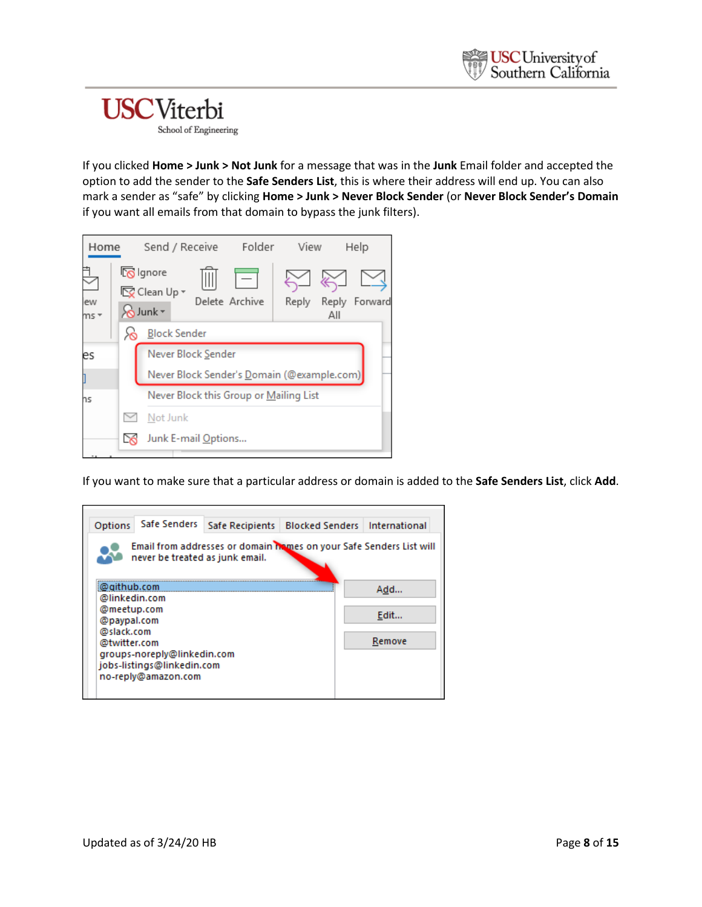

If you clicked **Home > Junk > Not Junk** for a message that was in the **Junk** Email folder and accepted the option to add the sender to the **Safe Senders List**, this is where their address will end up. You can also mark a sender as "safe" by clicking **Home > Junk > Never Block Sender** (or **Never Block Sender's Domain** if you want all emails from that domain to bypass the junk filters).



If you want to make sure that a particular address or domain is added to the **Safe Senders List**, click **Add**.

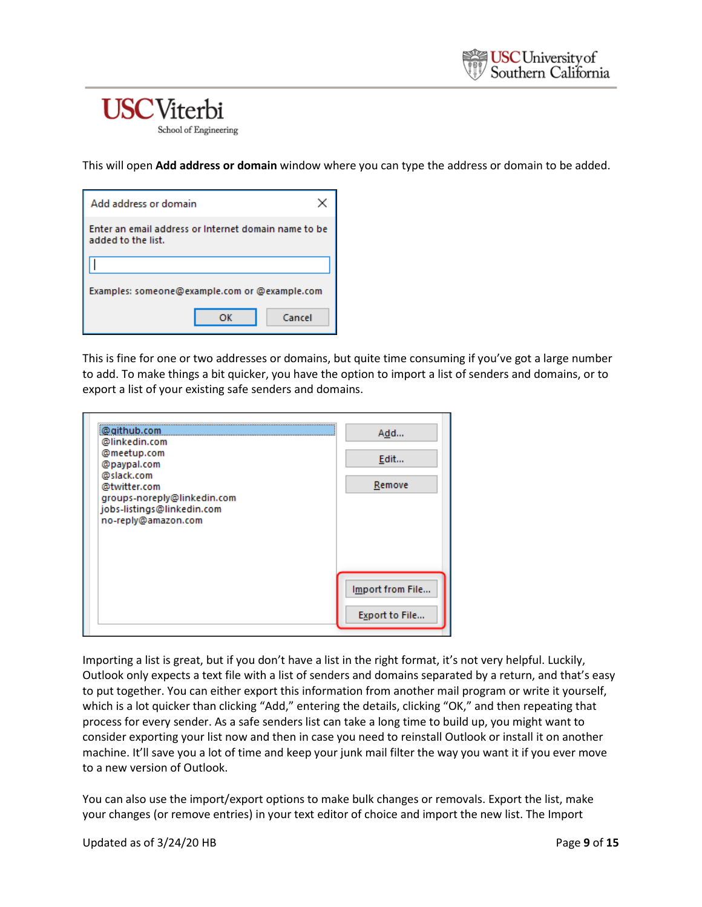This will open **Add address or domain** window where you can type the address or domain to be added.

| Add address or domain                                                      |  |  |  |  |  |  |
|----------------------------------------------------------------------------|--|--|--|--|--|--|
| Enter an email address or Internet domain name to be<br>added to the list. |  |  |  |  |  |  |
|                                                                            |  |  |  |  |  |  |
| Examples: someone@example.com or @example.com                              |  |  |  |  |  |  |
| Cancel<br>ОΚ                                                               |  |  |  |  |  |  |

This is fine for one or two addresses or domains, but quite time consuming if you've got a large number to add. To make things a bit quicker, you have the option to import a list of senders and domains, or to export a list of your existing safe senders and domains.

| @github.com<br>@linkedin.com                              | Add              |
|-----------------------------------------------------------|------------------|
| @meetup.com<br>@paypal.com                                | Edit             |
| @slack.com<br>@twitter.com<br>groups-noreply@linkedin.com | Remove           |
| jobs-listings@linkedin.com<br>no-reply@amazon.com         |                  |
|                                                           |                  |
|                                                           |                  |
|                                                           | Import from File |
|                                                           | Export to File   |

Importing a list is great, but if you don't have a list in the right format, it's not very helpful. Luckily, Outlook only expects a text file with a list of senders and domains separated by a return, and that's easy to put together. You can either export this information from another mail program or write it yourself, which is a lot quicker than clicking "Add," entering the details, clicking "OK," and then repeating that process for every sender. As a safe senders list can take a long time to build up, you might want to consider exporting your list now and then in case you need to reinstall Outlook or install it on another machine. It'll save you a lot of time and keep your junk mail filter the way you want it if you ever move to a new version of Outlook.

You can also use the import/export options to make bulk changes or removals. Export the list, make your changes (or remove entries) in your text editor of choice and import the new list. The Import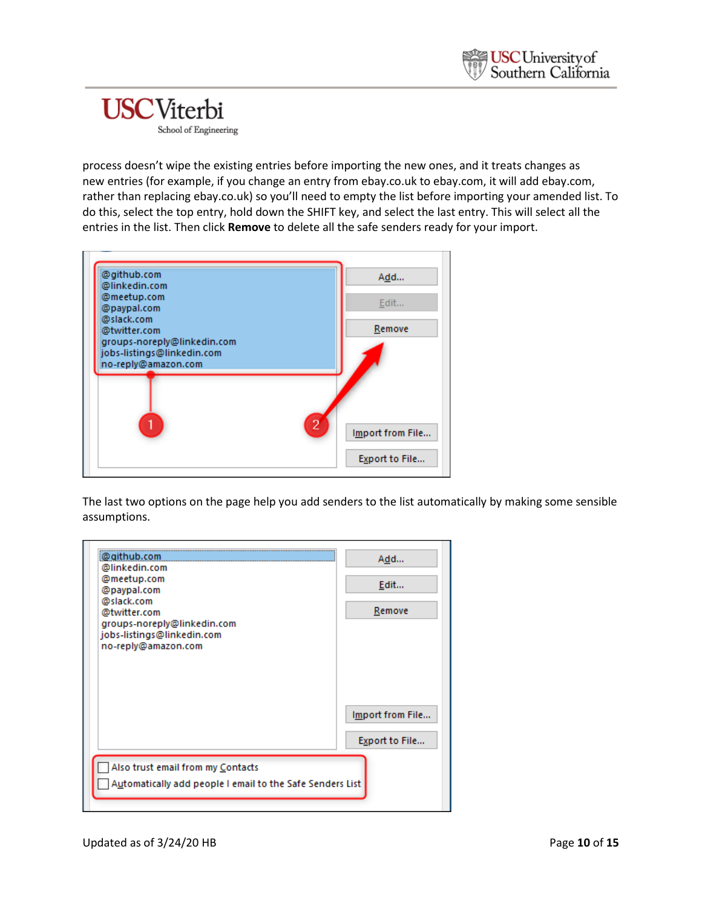process doesn't wipe the existing entries before importing the new ones, and it treats changes as new entries (for example, if you change an entry from ebay.co.uk to ebay.com, it will add ebay.com, rather than replacing ebay.co.uk) so you'll need to empty the list before importing your amended list. To do this, select the top entry, hold down the SHIFT key, and select the last entry. This will select all the entries in the list. Then click **Remove** to delete all the safe senders ready for your import.



The last two options on the page help you add senders to the list automatically by making some sensible assumptions.

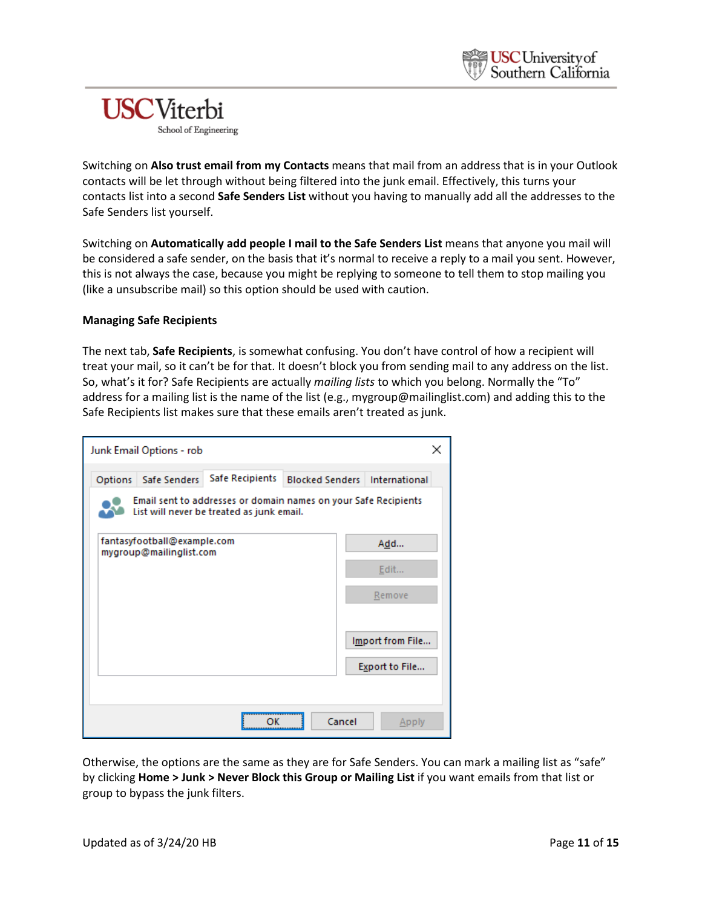Switching on **Also trust email from my Contacts** means that mail from an address that is in your Outlook contacts will be let through without being filtered into the junk email. Effectively, this turns your contacts list into a second **Safe Senders List** without you having to manually add all the addresses to the Safe Senders list yourself.

Switching on **Automatically add people I mail to the Safe Senders List** means that anyone you mail will be considered a safe sender, on the basis that it's normal to receive a reply to a mail you sent. However, this is not always the case, because you might be replying to someone to tell them to stop mailing you (like a unsubscribe mail) so this option should be used with caution.

#### **Managing Safe Recipients**

The next tab, **Safe Recipients**, is somewhat confusing. You don't have control of how a recipient will treat your mail, so it can't be for that. It doesn't block you from sending mail to any address on the list. So, what's it for? Safe Recipients are actually *mailing lists* to which you belong. Normally the "To" address for a mailing list is the name of the list (e.g., mygroup@mailinglist.com) and adding this to the Safe Recipients list makes sure that these emails aren't treated as junk.

|         | Junk Email Options - rob                               |                                                                                                              |        |                                      |
|---------|--------------------------------------------------------|--------------------------------------------------------------------------------------------------------------|--------|--------------------------------------|
| Options | Safe Senders                                           | Safe Recipients                                                                                              |        | <b>Blocked Senders International</b> |
|         |                                                        | Email sent to addresses or domain names on your Safe Recipients<br>List will never be treated as junk email. |        |                                      |
|         | fantasyfootball@example.com<br>mygroup@mailinglist.com |                                                                                                              |        | Add                                  |
|         |                                                        |                                                                                                              |        | Edit                                 |
|         |                                                        |                                                                                                              |        | Remove                               |
|         |                                                        |                                                                                                              |        | Import from File<br>Export to File   |
|         |                                                        |                                                                                                              |        |                                      |
|         |                                                        |                                                                                                              | Cancel | Apply                                |

Otherwise, the options are the same as they are for Safe Senders. You can mark a mailing list as "safe" by clicking **Home > Junk > Never Block this Group or Mailing List** if you want emails from that list or group to bypass the junk filters.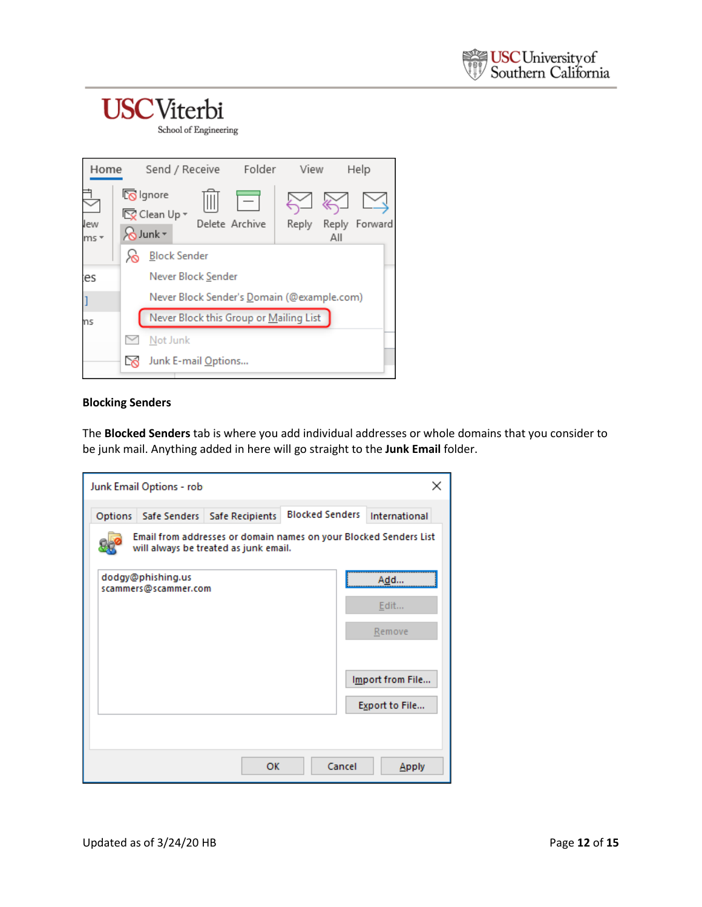School of Engineering

| Home          |                                                                 | Send / Receive                             | Folder         | View  |     | Help          |
|---------------|-----------------------------------------------------------------|--------------------------------------------|----------------|-------|-----|---------------|
| lew<br>$ms -$ | <b>K</b> Ignore<br><b>EX</b> Clean Up ▼<br>$\infty$ Junk $\sim$ |                                            | Delete Archive | Reply | All | Reply Forward |
|               |                                                                 | <b>Block Sender</b>                        |                |       |     |               |
| es:           |                                                                 | Never Block Sender                         |                |       |     |               |
|               |                                                                 | Never Block Sender's Domain (@example.com) |                |       |     |               |
| ns            |                                                                 | Never Block this Group or Mailing List     |                |       |     |               |
|               | Not Junk                                                        |                                            |                |       |     |               |
|               |                                                                 | Junk E-mail Options                        |                |       |     |               |

#### **Blocking Senders**

The **Blocked Senders** tab is where you add individual addresses or whole domains that you consider to be junk mail. Anything added in here will go straight to the **Junk Email** folder.

|         | Junk Email Options - rob                  |                                                                                                            |                        |        | ×                |
|---------|-------------------------------------------|------------------------------------------------------------------------------------------------------------|------------------------|--------|------------------|
| Options |                                           | Safe Senders   Safe Recipients                                                                             | <b>Blocked Senders</b> |        | International    |
|         |                                           | Email from addresses or domain names on your Blocked Senders List<br>will always be treated as junk email. |                        |        |                  |
|         | dodgy@phishing.us<br>scammers@scammer.com |                                                                                                            |                        |        | Add              |
|         |                                           |                                                                                                            |                        |        | Edit             |
|         |                                           |                                                                                                            |                        |        | Remove           |
|         |                                           |                                                                                                            |                        |        | Import from File |
|         |                                           |                                                                                                            |                        |        | Export to File   |
|         |                                           |                                                                                                            |                        |        |                  |
|         |                                           | OK                                                                                                         |                        | Cancel | Apply            |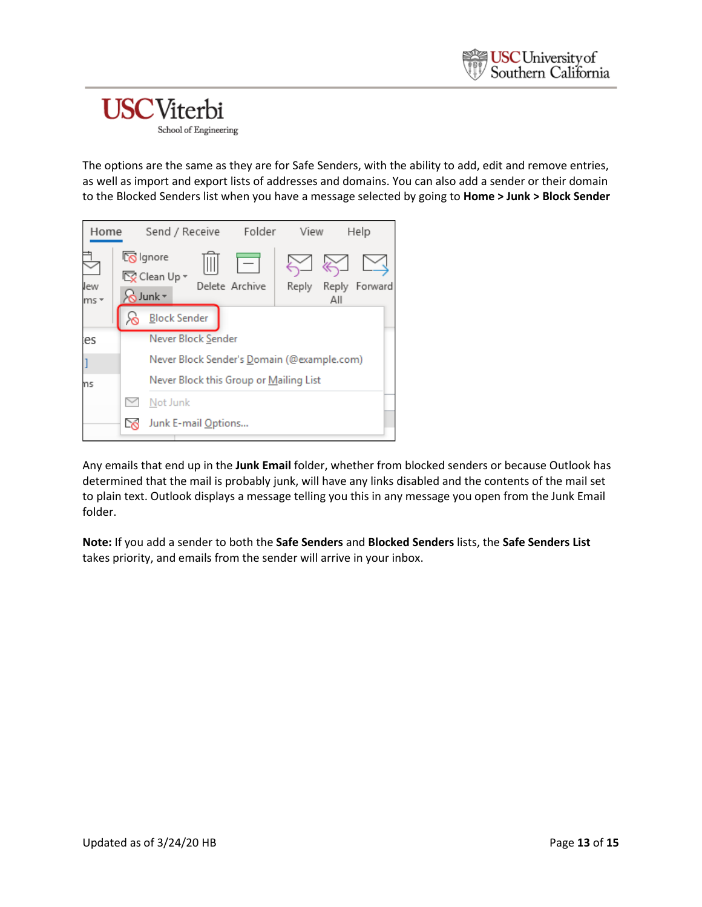The options are the same as they are for Safe Senders, with the ability to add, edit and remove entries, as well as import and export lists of addresses and domains. You can also add a sender or their domain to the Blocked Senders list when you have a message selected by going to **Home > Junk > Block Sender**

| Home          | Send / Receive Folder                              |                                            | View  |     | Help          |
|---------------|----------------------------------------------------|--------------------------------------------|-------|-----|---------------|
| lew<br>$ms -$ | <b>ko</b> lgnore<br><b>E</b> Clean Up ▼<br>SJunk * | Delete Archive                             | Reply | All | Reply Forward |
|               | <b>Block Sender</b>                                |                                            |       |     |               |
| ies           | Never Block Sender                                 |                                            |       |     |               |
|               |                                                    | Never Block Sender's Domain (@example.com) |       |     |               |
| ns            |                                                    | Never Block this Group or Mailing List     |       |     |               |
|               | Not Junk                                           |                                            |       |     |               |
|               | Junk E-mail Options                                |                                            |       |     |               |

Any emails that end up in the **Junk Email** folder, whether from blocked senders or because Outlook has determined that the mail is probably junk, will have any links disabled and the contents of the mail set to plain text. Outlook displays a message telling you this in any message you open from the Junk Email folder.

**Note:** If you add a sender to both the **Safe Senders** and **Blocked Senders** lists, the **Safe Senders List** takes priority, and emails from the sender will arrive in your inbox.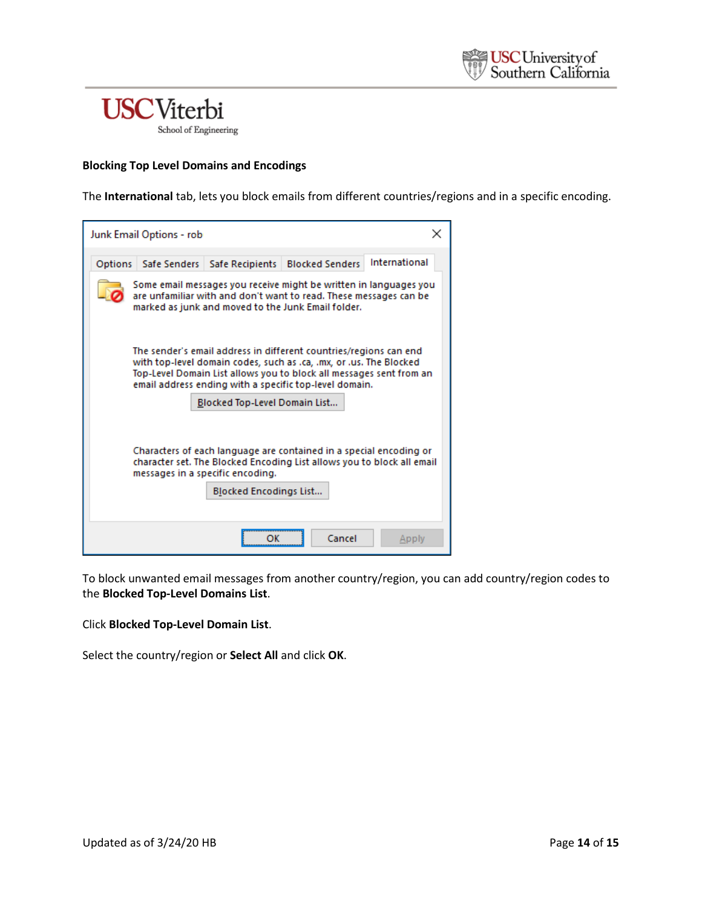#### **Blocking Top Level Domains and Encodings**

The **International** tab, lets you block emails from different countries/regions and in a specific encoding.

| Junk Email Options - rob |                                                                   |                                                                                                                                                                                                                                                                          |               |
|--------------------------|-------------------------------------------------------------------|--------------------------------------------------------------------------------------------------------------------------------------------------------------------------------------------------------------------------------------------------------------------------|---------------|
|                          |                                                                   | Options   Safe Senders   Safe Recipients   Blocked Senders                                                                                                                                                                                                               | International |
|                          |                                                                   | Some email messages you receive might be written in languages you<br>are unfamiliar with and don't want to read. These messages can be<br>marked as junk and moved to the Junk Email folder.                                                                             |               |
|                          |                                                                   | The sender's email address in different countries/regions can end<br>with top-level domain codes, such as .ca, .mx, or .us. The Blocked<br>Top-Level Domain List allows you to block all messages sent from an<br>email address ending with a specific top-level domain. |               |
|                          | Blocked Top-Level Domain List                                     |                                                                                                                                                                                                                                                                          |               |
|                          | messages in a specific encoding.<br><b>Blocked Encodings List</b> | Characters of each language are contained in a special encoding or<br>character set. The Blocked Encoding List allows you to block all email                                                                                                                             |               |
|                          |                                                                   | Cancel                                                                                                                                                                                                                                                                   | Apply         |

To block unwanted email messages from another country/region, you can add country/region codes to the **Blocked Top-Level Domains List**.

Click **Blocked Top-Level Domain List**.

Select the country/region or **Select All** and click **OK**.